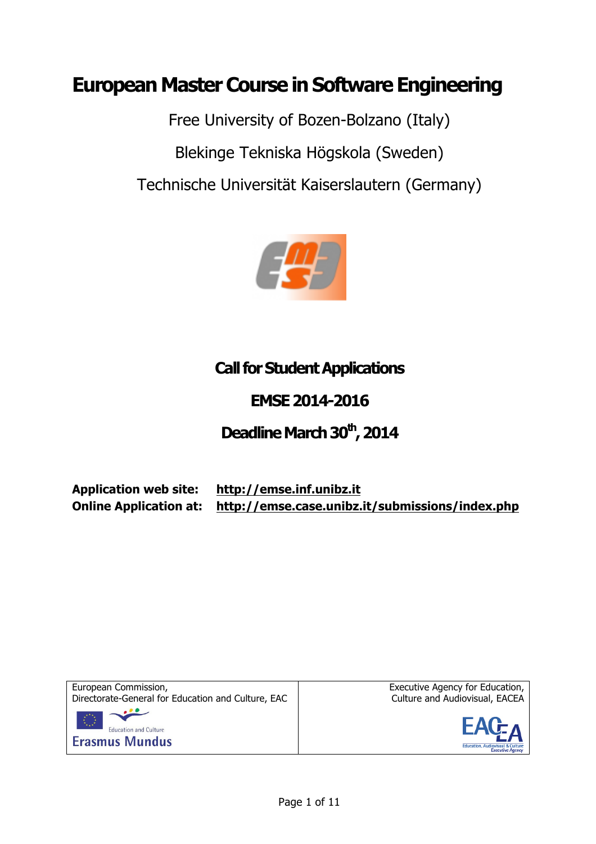# **European Master Course in Software Engineering**

Free University of Bozen-Bolzano (Italy) Blekinge Tekniska Högskola (Sweden) Technische Universität Kaiserslautern (Germany)



## **Call for Student Applications**

## **EMSE 2014-2016**

## Deadline March 30<sup>th</sup>, 2014

**Application web site: http://emse.inf.unibz.it Online Application at: http://emse.case.unibz.it/submissions/index.php**



Executive Agency for Education, Culture and Audiovisual, EACEA

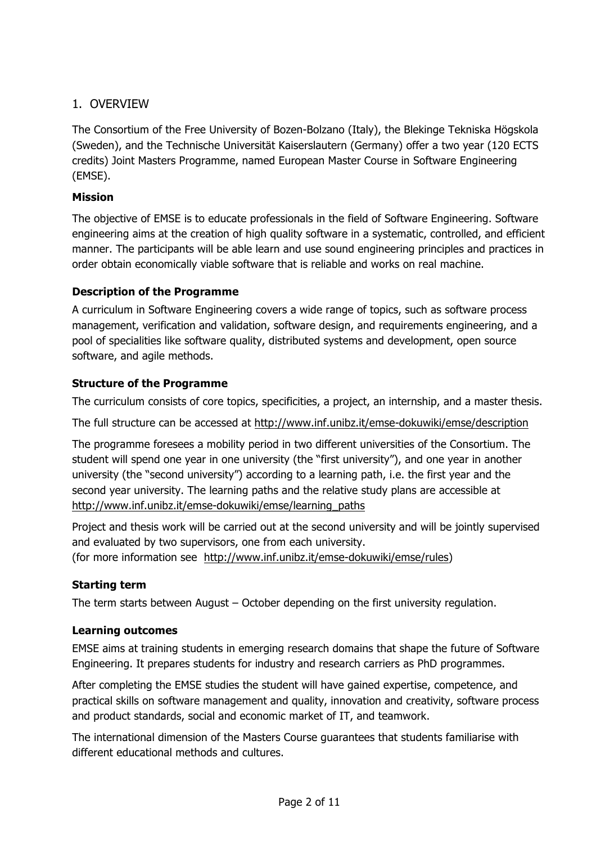## 1. OVERVIEW

The Consortium of the Free University of Bozen-Bolzano (Italy), the Blekinge Tekniska Högskola (Sweden), and the Technische Universität Kaiserslautern (Germany) offer a two year (120 ECTS credits) Joint Masters Programme, named European Master Course in Software Engineering (EMSE).

## **Mission**

The objective of EMSE is to educate professionals in the field of Software Engineering. Software engineering aims at the creation of high quality software in a systematic, controlled, and efficient manner. The participants will be able learn and use sound engineering principles and practices in order obtain economically viable software that is reliable and works on real machine.

## **Description of the Programme**

A curriculum in Software Engineering covers a wide range of topics, such as software process management, verification and validation, software design, and requirements engineering, and a pool of specialities like software quality, distributed systems and development, open source software, and agile methods.

## **Structure of the Programme**

The curriculum consists of core topics, specificities, a project, an internship, and a master thesis.

The full structure can be accessed at http://www.inf.unibz.it/emse-dokuwiki/emse/description

The programme foresees a mobility period in two different universities of the Consortium. The student will spend one year in one university (the "first university"), and one year in another university (the "second university") according to a learning path, i.e. the first year and the second year university. The learning paths and the relative study plans are accessible at http://www.inf.unibz.it/emse-dokuwiki/emse/learning\_paths

Project and thesis work will be carried out at the second university and will be jointly supervised and evaluated by two supervisors, one from each university.

(for more information see http://www.inf.unibz.it/emse-dokuwiki/emse/rules)

#### **Starting term**

The term starts between August – October depending on the first university regulation.

#### **Learning outcomes**

EMSE aims at training students in emerging research domains that shape the future of Software Engineering. It prepares students for industry and research carriers as PhD programmes.

After completing the EMSE studies the student will have gained expertise, competence, and practical skills on software management and quality, innovation and creativity, software process and product standards, social and economic market of IT, and teamwork.

The international dimension of the Masters Course guarantees that students familiarise with different educational methods and cultures.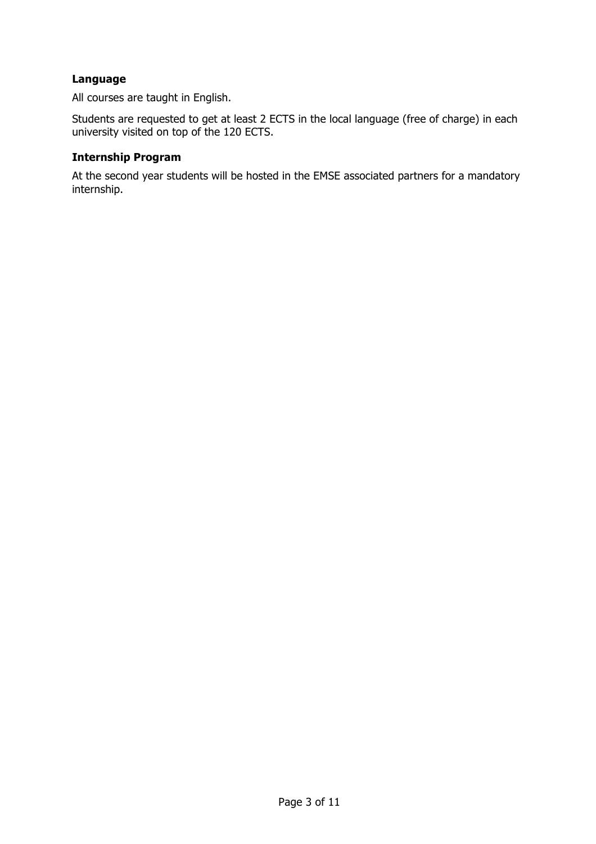#### **Language**

All courses are taught in English.

Students are requested to get at least 2 ECTS in the local language (free of charge) in each university visited on top of the 120 ECTS.

#### **Internship Program**

At the second year students will be hosted in the EMSE associated partners for a mandatory internship.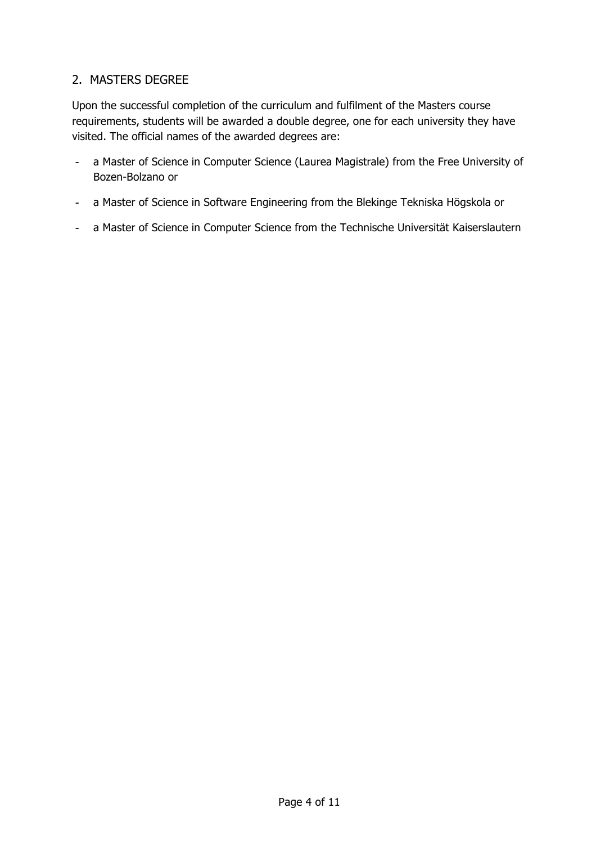## 2. MASTERS DEGREE

Upon the successful completion of the curriculum and fulfilment of the Masters course requirements, students will be awarded a double degree, one for each university they have visited. The official names of the awarded degrees are:

- a Master of Science in Computer Science (Laurea Magistrale) from the Free University of Bozen-Bolzano or
- a Master of Science in Software Engineering from the Blekinge Tekniska Högskola or
- a Master of Science in Computer Science from the Technische Universität Kaiserslautern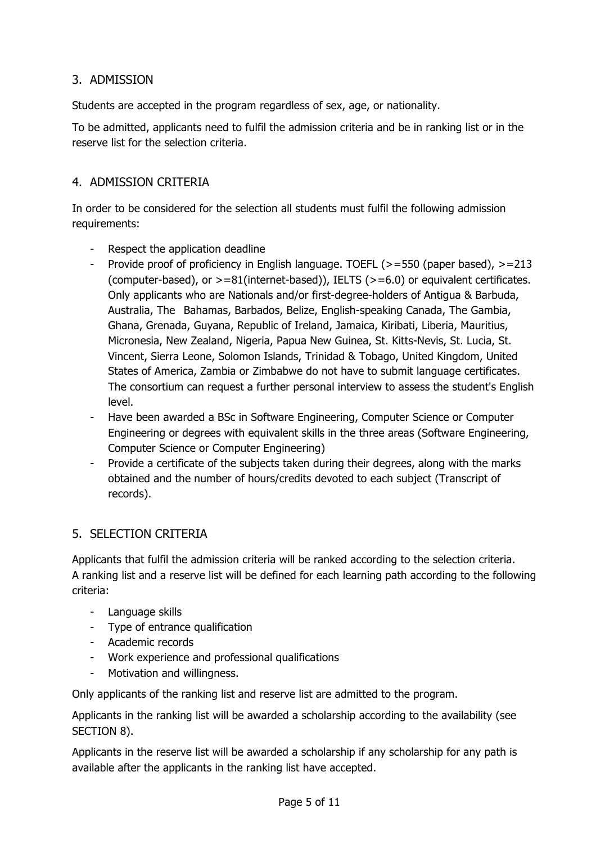## 3. ADMISSION

Students are accepted in the program regardless of sex, age, or nationality.

To be admitted, applicants need to fulfil the admission criteria and be in ranking list or in the reserve list for the selection criteria.

## 4. ADMISSION CRITERIA

In order to be considered for the selection all students must fulfil the following admission requirements:

- Respect the application deadline
- Provide proof of proficiency in English language. TOEFL (>=550 (paper based), >=213 (computer-based), or  $>=81$ (internet-based)), IELTS ( $>=6.0$ ) or equivalent certificates. Only applicants who are Nationals and/or first-degree-holders of Antigua & Barbuda, Australia, The Bahamas, Barbados, Belize, English-speaking Canada, The Gambia, Ghana, Grenada, Guyana, Republic of Ireland, Jamaica, Kiribati, Liberia, Mauritius, Micronesia, New Zealand, Nigeria, Papua New Guinea, St. Kitts-Nevis, St. Lucia, St. Vincent, Sierra Leone, Solomon Islands, Trinidad & Tobago, United Kingdom, United States of America, Zambia or Zimbabwe do not have to submit language certificates. The consortium can request a further personal interview to assess the student's English level.
- Have been awarded a BSc in Software Engineering, Computer Science or Computer Engineering or degrees with equivalent skills in the three areas (Software Engineering, Computer Science or Computer Engineering)
- Provide a certificate of the subjects taken during their degrees, along with the marks obtained and the number of hours/credits devoted to each subject (Transcript of records).

## 5. SELECTION CRITERIA

Applicants that fulfil the admission criteria will be ranked according to the selection criteria. A ranking list and a reserve list will be defined for each learning path according to the following criteria:

- Language skills
- Type of entrance qualification
- Academic records
- Work experience and professional qualifications
- Motivation and willingness.

Only applicants of the ranking list and reserve list are admitted to the program.

Applicants in the ranking list will be awarded a scholarship according to the availability (see SECTION 8).

Applicants in the reserve list will be awarded a scholarship if any scholarship for any path is available after the applicants in the ranking list have accepted.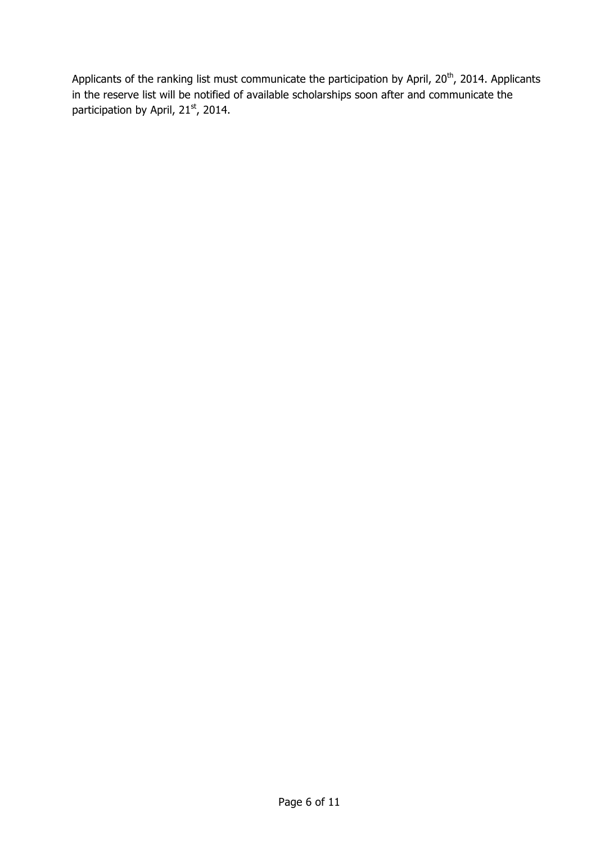Applicants of the ranking list must communicate the participation by April, 20<sup>th</sup>, 2014. Applicants in the reserve list will be notified of available scholarships soon after and communicate the participation by April, 21<sup>st</sup>, 2014.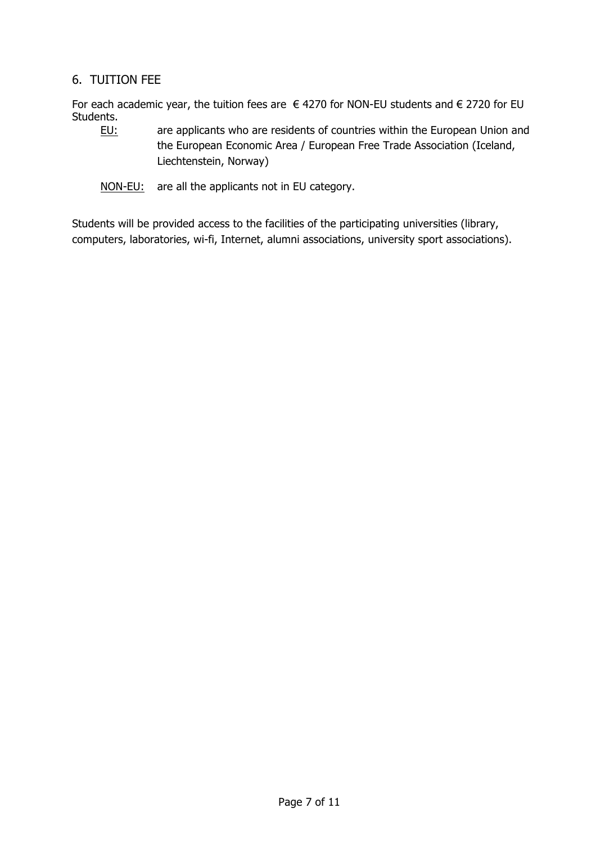## 6. TUITION FEE

For each academic year, the tuition fees are  $\epsilon$  4270 for NON-EU students and  $\epsilon$  2720 for EU Students.

- EU: are applicants who are residents of countries within the European Union and the European Economic Area / European Free Trade Association (Iceland, Liechtenstein, Norway)
- NON-EU: are all the applicants not in EU category.

Students will be provided access to the facilities of the participating universities (library, computers, laboratories, wi-fi, Internet, alumni associations, university sport associations).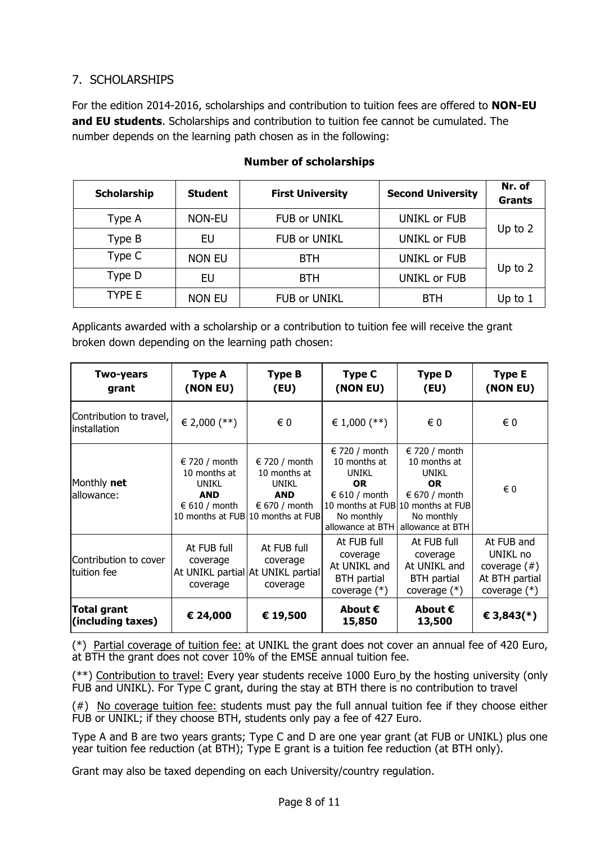## 7. SCHOLARSHIPS

For the edition 2014-2016, scholarships and contribution to tuition fees are offered to **NON-EU and EU students**. Scholarships and contribution to tuition fee cannot be cumulated. The number depends on the learning path chosen as in the following:

| <b>Scholarship</b> | <b>Student</b> | <b>First University</b> | <b>Second University</b> | Nr. of<br><b>Grants</b> |  |
|--------------------|----------------|-------------------------|--------------------------|-------------------------|--|
| Type A             | NON-EU         | <b>FUB or UNIKL</b>     | UNIKL or FUB             | Up to 2                 |  |
| Type B             | EU             | <b>FUB or UNIKL</b>     | <b>UNIKL or FUB</b>      |                         |  |
| Type C             | <b>NON EU</b>  | <b>BTH</b>              | UNIKL or FUB             | Up to 2                 |  |
| Type D             | EU             | <b>BTH</b>              | <b>UNIKL or FUB</b>      |                         |  |
| TYPE E             | <b>NON EU</b>  | <b>FUB or UNIKL</b>     | <b>BTH</b>               | Up to $1$               |  |

## **Number of scholarships**

Applicants awarded with a scholarship or a contribution to tuition fee will receive the grant broken down depending on the learning path chosen:

| <b>Two-years</b><br>grant               | Type A<br>(NON EU)                                                                             | Type B<br>(EU)                                                                                                          | Type C<br>(NON EU)                                                                                             | <b>Type D</b><br>(EU)                                                                                                                           | <b>Type E</b><br>(NON EU)                                                     |
|-----------------------------------------|------------------------------------------------------------------------------------------------|-------------------------------------------------------------------------------------------------------------------------|----------------------------------------------------------------------------------------------------------------|-------------------------------------------------------------------------------------------------------------------------------------------------|-------------------------------------------------------------------------------|
| Contribution to travel,<br>installation | $\in$ 2,000 (**)                                                                               | € 0                                                                                                                     | € 1,000 $(**)$                                                                                                 | € 0                                                                                                                                             | $\epsilon$ 0                                                                  |
| Monthly net<br>allowance:               | $\epsilon$ 720 / month<br>10 months at<br><b>UNIKL</b><br><b>AND</b><br>$\epsilon$ 610 / month | $\in$ 720 / month<br>10 months at<br>UNIKL<br><b>AND</b><br>$\epsilon$ 670 / month<br>10 months at FUB 10 months at FUB | $\in$ 720 / month<br>10 months at<br>UNIKL<br><b>OR</b><br>$\in$ 610 / month<br>No monthly<br>allowance at BTH | $\in$ 720 / month<br>10 months at<br>UNIKL<br><b>OR</b><br>€ 670 / month<br>10 months at FUB 10 months at FUB<br>No monthly<br>allowance at BTH | € 0                                                                           |
| Contribution to cover<br>ltuition fee   | At FUB full<br>coverage<br>coverage                                                            | At FUB full<br>coverage<br>At UNIKL partial At UNIKL partial<br>coverage                                                | At FUB full<br>coverage<br>At UNIKL and<br>BTH partial<br>coverage $(*)$                                       | At FUB full<br>coverage<br>At UNIKL and<br>BTH partial<br>coverage $(*)$                                                                        | At FUB and<br>UNIKL no<br>coverage $($ #)<br>At BTH partial<br>coverage $(*)$ |
| Total grant<br>(including taxes)        | € 24,000                                                                                       | € 19,500                                                                                                                | About $\epsilon$<br>15,850                                                                                     | About $\boldsymbol{\epsilon}$<br>13,500                                                                                                         | € 3,843(*)                                                                    |

(\*) Partial coverage of tuition fee: at UNIKL the grant does not cover an annual fee of 420 Euro, at BTH the grant does not cover 10% of the EMSE annual tuition fee.

(\*\*) Contribution to travel: Every year students receive 1000 Euro by the hosting university (only FUB and UNIKL). For Type C grant, during the stay at BTH there is no contribution to travel

(#) No coverage tuition fee: students must pay the full annual tuition fee if they choose either FUB or UNIKL; if they choose BTH, students only pay a fee of 427 Euro.

Type A and B are two years grants; Type C and D are one year grant (at FUB or UNIKL) plus one year tuition fee reduction (at BTH); Type E grant is a tuition fee reduction (at BTH only).

Grant may also be taxed depending on each University/country regulation.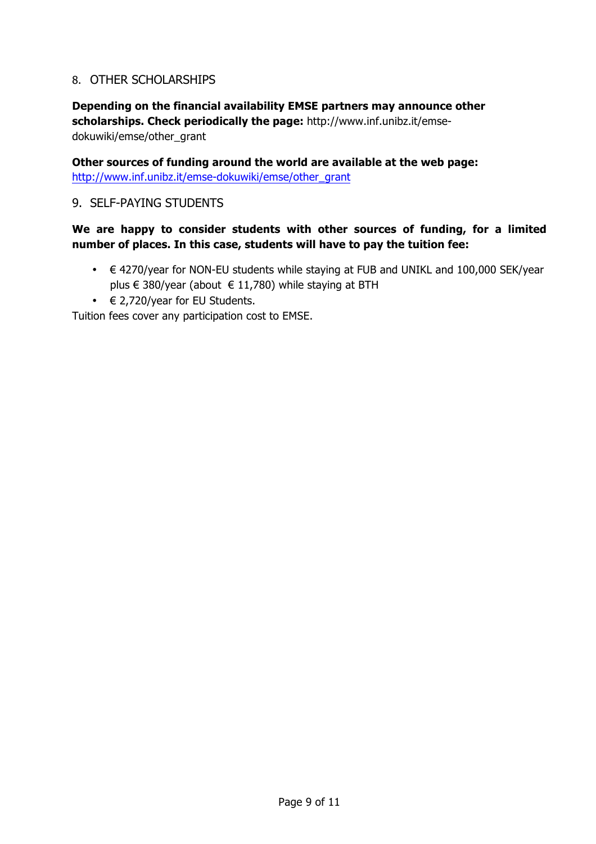## 8. OTHER SCHOLARSHIPS

## **Depending on the financial availability EMSE partners may announce other scholarships. Check periodically the page:** http://www.inf.unibz.it/emsedokuwiki/emse/other\_grant

**Other sources of funding around the world are available at the web page:**  http://www.inf.unibz.it/emse-dokuwiki/emse/other\_grant

## 9. SELF-PAYING STUDENTS

## **We are happy to consider students with other sources of funding, for a limited number of places. In this case, students will have to pay the tuition fee:**

- € 4270/year for NON-EU students while staying at FUB and UNIKL and 100,000 SEK/year plus € 380/year (about  $∈ 11,780$ ) while staying at BTH
- $\in$  2,720/year for EU Students.

Tuition fees cover any participation cost to EMSE.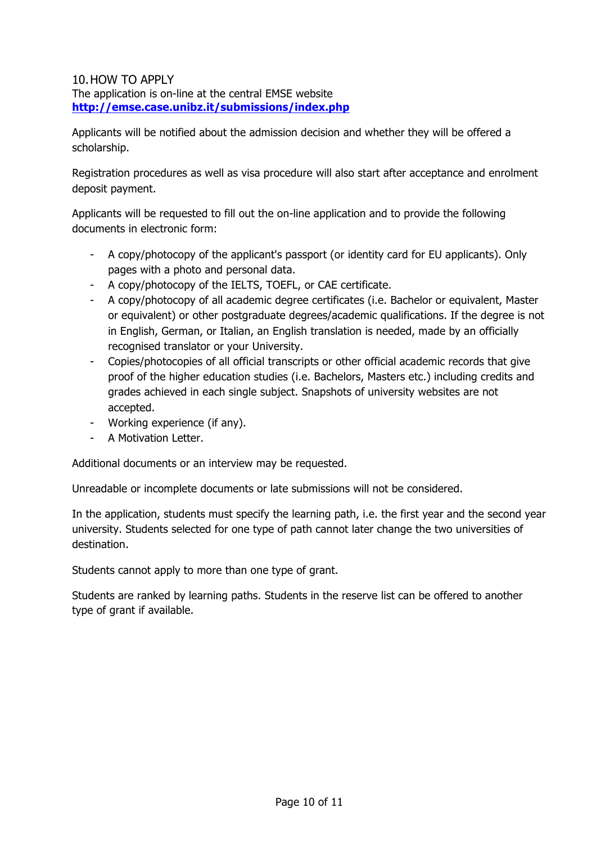#### 10.HOW TO APPLY The application is on-line at the central EMSE website **http://emse.case.unibz.it/submissions/index.php**

Applicants will be notified about the admission decision and whether they will be offered a scholarship.

Registration procedures as well as visa procedure will also start after acceptance and enrolment deposit payment.

Applicants will be requested to fill out the on-line application and to provide the following documents in electronic form:

- A copy/photocopy of the applicant's passport (or identity card for EU applicants). Only pages with a photo and personal data.
- A copy/photocopy of the IELTS, TOEFL, or CAE certificate.
- A copy/photocopy of all academic degree certificates (i.e. Bachelor or equivalent, Master or equivalent) or other postgraduate degrees/academic qualifications. If the degree is not in English, German, or Italian, an English translation is needed, made by an officially recognised translator or your University.
- Copies/photocopies of all official transcripts or other official academic records that give proof of the higher education studies (i.e. Bachelors, Masters etc.) including credits and grades achieved in each single subject. Snapshots of university websites are not accepted.
- Working experience (if any).
- A Motivation Letter.

Additional documents or an interview may be requested.

Unreadable or incomplete documents or late submissions will not be considered.

In the application, students must specify the learning path, i.e. the first year and the second year university. Students selected for one type of path cannot later change the two universities of destination.

Students cannot apply to more than one type of grant.

Students are ranked by learning paths. Students in the reserve list can be offered to another type of grant if available.